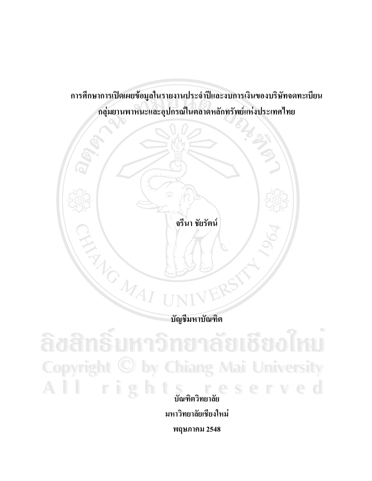การศึกษาการเปิดเผยข้อมูลในรายงานประจำปีและงบการเงินของบริษัทจดทะเบียน กลุ่มยานพาหนะและอุปกรณ์ในตลาดหลักทรัพย์แห่งประเทศไทย

จรีนา ชัยรัตน์

บัญชีมหาบัณฑิต

ลิขสิทธิ์มหาวิทยาลัยเชียงไหม **Copyright C by Chiang Mai University** All rights reserved

REACTES

มหาวิทยาลัยเชียงใหม่

พฤษภาคม 2548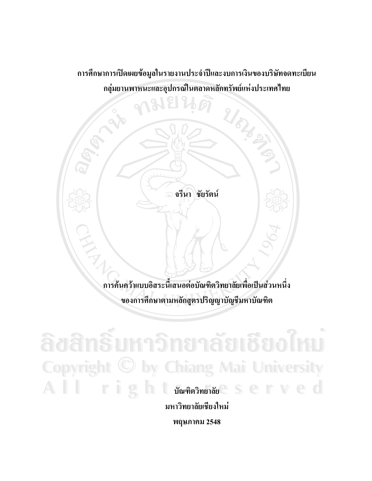การศึกษาการเปิดเผยข้อมูลในรายงานประจำปีและงบการเงินของบริษัทจดทะเบียน กลุ่มยานพาหนะและอุปกรณ์ในตลาดหลักทรัพย์แห่งประเทศไทย

URLES

จรีนา ชัยรัตน์

การค้นคว้าแบบอิสระนี้เสนอต่อบัณฑิตวิทยาลัยเพื่อเป็นส่วนหนึ่ง ของการศึกษาตามหลักสูตรปริญญาบัญชีมหาบัณฑิต

ลิขสิทธิ์มหาวิทยาลัยเชียงไหม **Copyright © by Chiang Mai University** All right name served มหาวิทยาลัยเชียงใหม่ พฤษภาคม 2548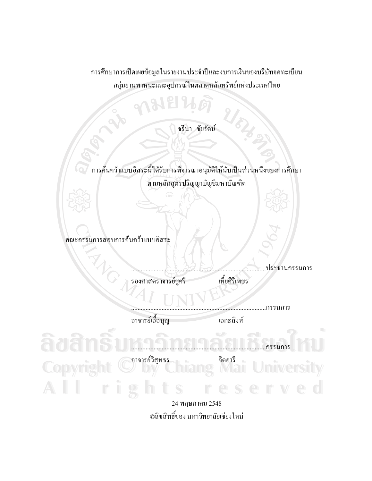การศึกษาการเปิดเผยข้อมูลในรายงานประจำปีและงบการเงินของบริษัทจดทะเบียน กลุ่มยานพาหนะและอุปกรณ์ในตลาดหลักทรัพย์แห่งประเทศไทย

จรีนา ชัยรัตน์

**BUCK** 

การค้นคว้าแบบอิสระนี้ได้รับการพิจารณาอนุมัติให้นับเป็นส่วนหนึ่งของการศึกษา ตามหลักสูตรปริญญาบัญชีมหาบัณฑิต

คณะกรรมการสอบการค้นคว้าแบบอิสระ

..ประธานกรรมการ . . . . . . . . . . เที้ยศิริเพชร รองศาสตราจารย์ชูศรี ...........กรรมการ อาจารย์เอื้อบุญ ้เอกะสิงห์ ........กรรมการ อาจารย์วิสุทธร จิตอารี Copyrig AII Î r

24 พฤษภาคม 2548 ©ลิขสิทธิ์ของ มหาวิทยาลัยเชียงใหม่